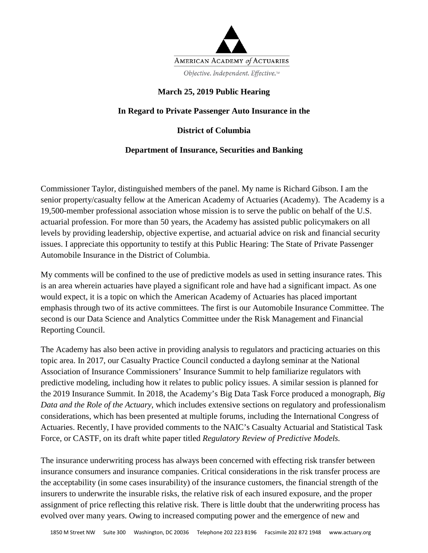

## **March 25, 2019 Public Hearing**

### **In Regard to Private Passenger Auto Insurance in the**

### **District of Columbia**

### **Department of Insurance, Securities and Banking**

Commissioner Taylor, distinguished members of the panel. My name is Richard Gibson. I am the senior property/casualty fellow at the American Academy of Actuaries (Academy). The Academy is a 19,500-member professional association whose mission is to serve the public on behalf of the U.S. actuarial profession. For more than 50 years, the Academy has assisted public policymakers on all levels by providing leadership, objective expertise, and actuarial advice on risk and financial security issues. I appreciate this opportunity to testify at this Public Hearing: The State of Private Passenger Automobile Insurance in the District of Columbia.

My comments will be confined to the use of predictive models as used in setting insurance rates. This is an area wherein actuaries have played a significant role and have had a significant impact. As one would expect, it is a topic on which the American Academy of Actuaries has placed important emphasis through two of its active committees. The first is our Automobile Insurance Committee. The second is our Data Science and Analytics Committee under the Risk Management and Financial Reporting Council.

The Academy has also been active in providing analysis to regulators and practicing actuaries on this topic area. In 2017, our Casualty Practice Council conducted a daylong seminar at the National Association of Insurance Commissioners' Insurance Summit to help familiarize regulators with predictive modeling, including how it relates to public policy issues. A similar session is planned for the 2019 Insurance Summit. In 2018, the Academy's Big Data Task Force produced a monograph, *Big Data and the Role of the Actuary*, which includes extensive sections on regulatory and professionalism considerations, which has been presented at multiple forums, including the International Congress of Actuaries. Recently, I have provided comments to the NAIC's Casualty Actuarial and Statistical Task Force, or CASTF, on its draft white paper titled *Regulatory Review of Predictive Models.*

The insurance underwriting process has always been concerned with effecting risk transfer between insurance consumers and insurance companies. Critical considerations in the risk transfer process are the acceptability (in some cases insurability) of the insurance customers, the financial strength of the insurers to underwrite the insurable risks, the relative risk of each insured exposure, and the proper assignment of price reflecting this relative risk. There is little doubt that the underwriting process has evolved over many years. Owing to increased computing power and the emergence of new and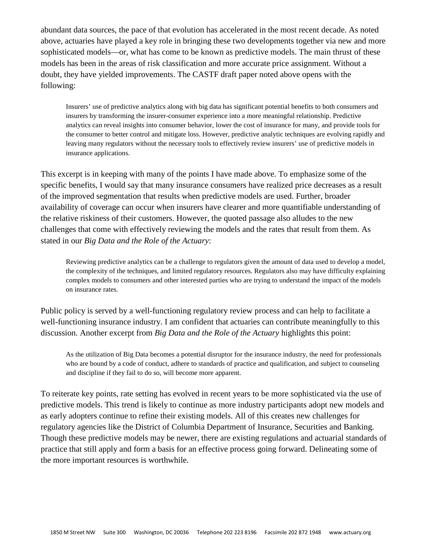abundant data sources, the pace of that evolution has accelerated in the most recent decade. As noted above, actuaries have played a key role in bringing these two developments together via new and more sophisticated models—or, what has come to be known as predictive models. The main thrust of these models has been in the areas of risk classification and more accurate price assignment. Without a doubt, they have yielded improvements. The CASTF draft paper noted above opens with the following:

Insurers' use of predictive analytics along with big data has significant potential benefits to both consumers and insurers by transforming the insurer-consumer experience into a more meaningful relationship. Predictive analytics can reveal insights into consumer behavior, lower the cost of insurance for many, and provide tools for the consumer to better control and mitigate loss. However, predictive analytic techniques are evolving rapidly and leaving many regulators without the necessary tools to effectively review insurers' use of predictive models in insurance applications.

This excerpt is in keeping with many of the points I have made above. To emphasize some of the specific benefits, I would say that many insurance consumers have realized price decreases as a result of the improved segmentation that results when predictive models are used. Further, broader availability of coverage can occur when insurers have clearer and more quantifiable understanding of the relative riskiness of their customers. However, the quoted passage also alludes to the new challenges that come with effectively reviewing the models and the rates that result from them. As stated in our *Big Data and the Role of the Actuary*:

Reviewing predictive analytics can be a challenge to regulators given the amount of data used to develop a model, the complexity of the techniques, and limited regulatory resources. Regulators also may have difficulty explaining complex models to consumers and other interested parties who are trying to understand the impact of the models on insurance rates.

Public policy is served by a well-functioning regulatory review process and can help to facilitate a well-functioning insurance industry. I am confident that actuaries can contribute meaningfully to this discussion. Another excerpt from *Big Data and the Role of the Actuary* highlights this point:

As the utilization of Big Data becomes a potential disruptor for the insurance industry, the need for professionals who are bound by a code of conduct, adhere to standards of practice and qualification, and subject to counseling and discipline if they fail to do so, will become more apparent.

To reiterate key points, rate setting has evolved in recent years to be more sophisticated via the use of predictive models. This trend is likely to continue as more industry participants adopt new models and as early adopters continue to refine their existing models. All of this creates new challenges for regulatory agencies like the District of Columbia Department of Insurance, Securities and Banking. Though these predictive models may be newer, there are existing regulations and actuarial standards of practice that still apply and form a basis for an effective process going forward. Delineating some of the more important resources is worthwhile.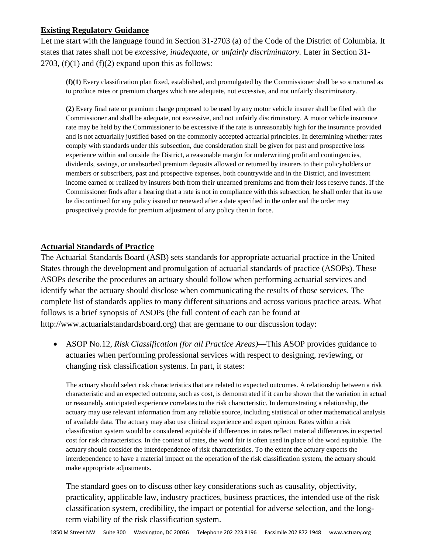# **Existing Regulatory Guidance**

Let me start with the language found in Section 31-2703 (a) of the Code of the District of Columbia. It states that rates shall not be *excessive, inadequate, or unfairly discriminatory.* Later in Section 31- 2703,  $(f)(1)$  and  $(f)(2)$  expand upon this as follows:

**(f)(1)** Every classification plan fixed, established, and promulgated by the Commissioner shall be so structured as to produce rates or premium charges which are adequate, not excessive, and not unfairly discriminatory.

**(2)** Every final rate or premium charge proposed to be used by any motor vehicle insurer shall be filed with the Commissioner and shall be adequate, not excessive, and not unfairly discriminatory. A motor vehicle insurance rate may be held by the Commissioner to be excessive if the rate is unreasonably high for the insurance provided and is not actuarially justified based on the commonly accepted actuarial principles. In determining whether rates comply with standards under this subsection, due consideration shall be given for past and prospective loss experience within and outside the District, a reasonable margin for underwriting profit and contingencies, dividends, savings, or unabsorbed premium deposits allowed or returned by insurers to their policyholders or members or subscribers, past and prospective expenses, both countrywide and in the District, and investment income earned or realized by insurers both from their unearned premiums and from their loss reserve funds. If the Commissioner finds after a hearing that a rate is not in compliance with this subsection, he shall order that its use be discontinued for any policy issued or renewed after a date specified in the order and the order may prospectively provide for premium adjustment of any policy then in force.

### **Actuarial Standards of Practice**

The Actuarial Standards Board (ASB) sets standards for appropriate actuarial practice in the United States through the development and promulgation of actuarial standards of practice (ASOPs). These ASOPs describe the procedures an actuary should follow when performing actuarial services and identify what the actuary should disclose when communicating the results of those services. The complete list of standards applies to many different situations and across various practice areas. What follows is a brief synopsis of ASOPs (the full content of each can be found at http://www.actuarialstandardsboard.org) that are germane to our discussion today:

• ASOP No.12, *Risk Classification (for all Practice Areas)*—This ASOP provides guidance to actuaries when performing professional services with respect to designing, reviewing, or changing risk classification systems. In part, it states:

The actuary should select risk characteristics that are related to expected outcomes. A relationship between a risk characteristic and an expected outcome, such as cost, is demonstrated if it can be shown that the variation in actual or reasonably anticipated experience correlates to the risk characteristic. In demonstrating a relationship, the actuary may use relevant information from any reliable source, including statistical or other mathematical analysis of available data. The actuary may also use clinical experience and expert opinion. Rates within a risk classification system would be considered equitable if differences in rates reflect material differences in expected cost for risk characteristics. In the context of rates, the word fair is often used in place of the word equitable. The actuary should consider the interdependence of risk characteristics. To the extent the actuary expects the interdependence to have a material impact on the operation of the risk classification system, the actuary should make appropriate adjustments.

The standard goes on to discuss other key considerations such as causality, objectivity, practicality, applicable law, industry practices, business practices, the intended use of the risk classification system, credibility, the impact or potential for adverse selection, and the longterm viability of the risk classification system.